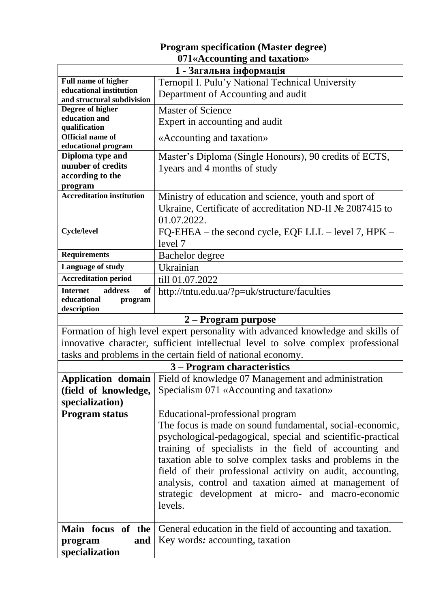## **Program specification (Master degree) 071«Accounting and taxation»**

| $\sigma$ , resoluting and taxabolished<br>1 - Загальна інформація              |                                                                                   |
|--------------------------------------------------------------------------------|-----------------------------------------------------------------------------------|
| <b>Full name of higher</b><br>Ternopil I. Pulu'y National Technical University |                                                                                   |
| educational institution                                                        |                                                                                   |
| and structural subdivision                                                     | Department of Accounting and audit                                                |
| Degree of higher                                                               | <b>Master of Science</b>                                                          |
| education and<br>qualification                                                 | Expert in accounting and audit                                                    |
| <b>Official name of</b>                                                        | «Accounting and taxation»                                                         |
| educational program                                                            |                                                                                   |
| Diploma type and                                                               | Master's Diploma (Single Honours), 90 credits of ECTS,                            |
| number of credits                                                              | 1 years and 4 months of study                                                     |
| according to the                                                               |                                                                                   |
| program                                                                        |                                                                                   |
| <b>Accreditation institution</b>                                               | Ministry of education and science, youth and sport of                             |
|                                                                                | Ukraine, Certificate of accreditation ND-II № 2087415 to                          |
|                                                                                | 01.07.2022.                                                                       |
| <b>Cycle/level</b>                                                             | FQ-EHEA – the second cycle, EQF LLL – level 7, HPK –                              |
|                                                                                | level 7                                                                           |
| <b>Requirements</b>                                                            | Bachelor degree                                                                   |
| Language of study                                                              | Ukrainian                                                                         |
| <b>Accreditation period</b>                                                    | till 01.07.2022                                                                   |
| Internet<br>address<br>of                                                      | http://tntu.edu.ua/?p=uk/structure/faculties                                      |
| educational<br>program                                                         |                                                                                   |
| description                                                                    |                                                                                   |
|                                                                                | 2 – Program purpose                                                               |
|                                                                                | Formation of high level expert personality with advanced knowledge and skills of  |
|                                                                                | innovative character, sufficient intellectual level to solve complex professional |
|                                                                                | tasks and problems in the certain field of national economy.                      |
|                                                                                | 3 – Program characteristics                                                       |
|                                                                                | <b>Application domain</b>   Field of knowledge 07 Management and administration   |
| (field of knowledge,                                                           | Specialism 071 «Accounting and taxation»                                          |
| specialization)                                                                |                                                                                   |
| <b>Program status</b>                                                          | Educational-professional program                                                  |
|                                                                                | The focus is made on sound fundamental, social-economic,                          |
|                                                                                | psychological-pedagogical, special and scientific-practical                       |
|                                                                                | training of specialists in the field of accounting and                            |
|                                                                                | taxation able to solve complex tasks and problems in the                          |
|                                                                                |                                                                                   |
|                                                                                | field of their professional activity on audit, accounting,                        |
|                                                                                | analysis, control and taxation aimed at management of                             |
|                                                                                | strategic development at micro- and macro-economic                                |
|                                                                                | levels.                                                                           |
|                                                                                |                                                                                   |
| Main focus of the                                                              | General education in the field of accounting and taxation.                        |
| and<br>program                                                                 | Key words: accounting, taxation                                                   |
| specialization                                                                 |                                                                                   |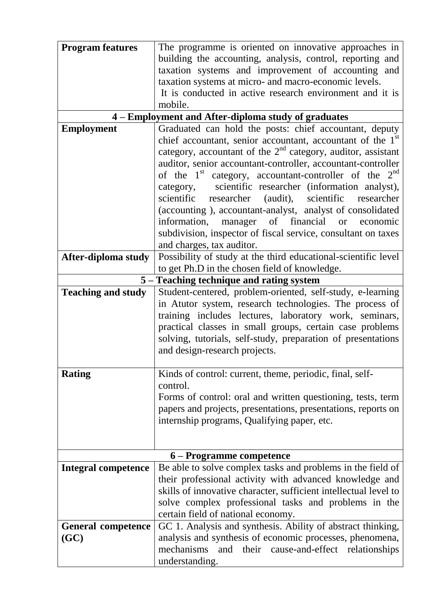| <b>Program features</b>    | The programme is oriented on innovative approaches in                  |
|----------------------------|------------------------------------------------------------------------|
|                            | building the accounting, analysis, control, reporting and              |
|                            |                                                                        |
|                            | taxation systems and improvement of accounting and                     |
|                            | taxation systems at micro- and macro-economic levels.                  |
|                            | It is conducted in active research environment and it is               |
|                            | mobile.                                                                |
|                            | 4 – Employment and After-diploma study of graduates                    |
| <b>Employment</b>          | Graduated can hold the posts: chief accountant, deputy                 |
|                            | chief accountant, senior accountant, accountant of the 1 <sup>st</sup> |
|                            | category, accountant of the $2nd$ category, auditor, assistant         |
|                            | auditor, senior accountant-controller, accountant-controller           |
|                            | of the $1st$ category, accountant-controller of the $2nd$              |
|                            | scientific researcher (information analyst),<br>category,              |
|                            | scientific researcher (audit), scientific<br>researcher                |
|                            | (accounting), accountant-analyst, analyst of consolidated              |
|                            | information, manager<br>of<br>financial                                |
|                            | economic<br><b>or</b>                                                  |
|                            | subdivision, inspector of fiscal service, consultant on taxes          |
|                            | and charges, tax auditor.                                              |
| After-diploma study        | Possibility of study at the third educational-scientific level         |
|                            | to get Ph.D in the chosen field of knowledge.                          |
|                            | 5 – Teaching technique and rating system                               |
| <b>Teaching and study</b>  | Student-centered, problem-oriented, self-study, e-learning             |
|                            | in Atutor system, research technologies. The process of                |
|                            | training includes lectures, laboratory work, seminars,                 |
|                            | practical classes in small groups, certain case problems               |
|                            | solving, tutorials, self-study, preparation of presentations           |
|                            | and design-research projects.                                          |
|                            |                                                                        |
| <b>Rating</b>              | Kinds of control: current, theme, periodic, final, self-               |
|                            | control.                                                               |
|                            | Forms of control: oral and written questioning, tests, term            |
|                            | papers and projects, presentations, presentations, reports on          |
|                            | internship programs, Qualifying paper, etc.                            |
|                            |                                                                        |
|                            |                                                                        |
|                            | 6 – Programme competence                                               |
| <b>Integral competence</b> | Be able to solve complex tasks and problems in the field of            |
|                            | their professional activity with advanced knowledge and                |
|                            | skills of innovative character, sufficient intellectual level to       |
|                            | solve complex professional tasks and problems in the                   |
|                            | certain field of national economy.                                     |
|                            |                                                                        |
| <b>General competence</b>  | GC 1. Analysis and synthesis. Ability of abstract thinking,            |
| (GC)                       | analysis and synthesis of economic processes, phenomena,               |
|                            | mechanisms and their cause-and-effect relationships                    |
|                            | understanding.                                                         |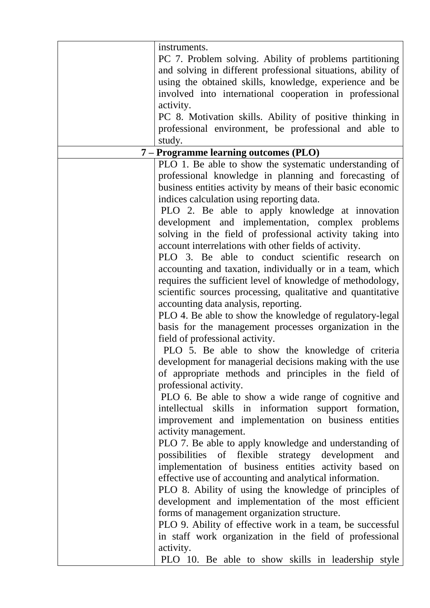|                                       | instruments.                                                 |
|---------------------------------------|--------------------------------------------------------------|
|                                       | PC 7. Problem solving. Ability of problems partitioning      |
|                                       | and solving in different professional situations, ability of |
|                                       | using the obtained skills, knowledge, experience and be      |
|                                       | involved into international cooperation in professional      |
|                                       | activity.                                                    |
|                                       | PC 8. Motivation skills. Ability of positive thinking in     |
|                                       |                                                              |
|                                       | professional environment, be professional and able to        |
|                                       | study.                                                       |
| 7 – Programme learning outcomes (PLO) |                                                              |
|                                       | PLO 1. Be able to show the systematic understanding of       |
|                                       | professional knowledge in planning and forecasting of        |
|                                       | business entities activity by means of their basic economic  |
|                                       | indices calculation using reporting data.                    |
|                                       | PLO 2. Be able to apply knowledge at innovation              |
|                                       | development and implementation, complex problems             |
|                                       | solving in the field of professional activity taking into    |
|                                       | account interrelations with other fields of activity.        |
|                                       | PLO 3. Be able to conduct scientific research on             |
|                                       | accounting and taxation, individually or in a team, which    |
|                                       | requires the sufficient level of knowledge of methodology,   |
|                                       | scientific sources processing, qualitative and quantitative  |
|                                       | accounting data analysis, reporting.                         |
|                                       | PLO 4. Be able to show the knowledge of regulatory-legal     |
|                                       | basis for the management processes organization in the       |
|                                       | field of professional activity.                              |
|                                       | PLO 5. Be able to show the knowledge of criteria             |
|                                       | development for managerial decisions making with the use     |
|                                       | of appropriate methods and principles in the field of        |
|                                       | professional activity.                                       |
|                                       | PLO 6. Be able to show a wide range of cognitive and         |
|                                       | intellectual skills in information support formation,        |
|                                       | improvement and implementation on business entities          |
|                                       | activity management.                                         |
|                                       | PLO 7. Be able to apply knowledge and understanding of       |
|                                       | possibilities of flexible strategy development<br>and        |
|                                       | implementation of business entities activity based on        |
|                                       | effective use of accounting and analytical information.      |
|                                       | PLO 8. Ability of using the knowledge of principles of       |
|                                       | development and implementation of the most efficient         |
|                                       | forms of management organization structure.                  |
|                                       | PLO 9. Ability of effective work in a team, be successful    |
|                                       | in staff work organization in the field of professional      |
|                                       |                                                              |
|                                       | activity.                                                    |
|                                       | PLO 10. Be able to show skills in leadership style           |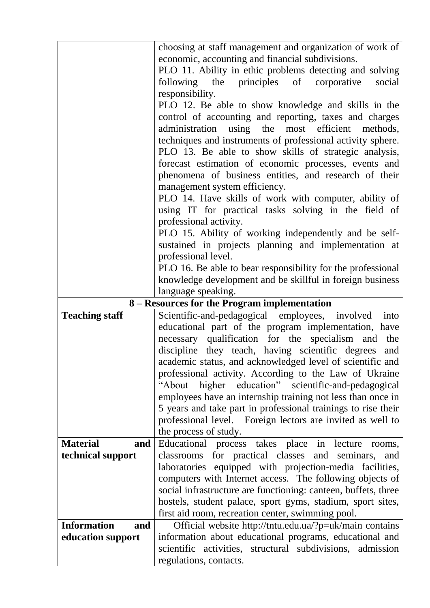|                           | choosing at staff management and organization of work of                            |
|---------------------------|-------------------------------------------------------------------------------------|
|                           | economic, accounting and financial subdivisions.                                    |
|                           | PLO 11. Ability in ethic problems detecting and solving                             |
|                           | following the principles of corporative<br>social                                   |
|                           | responsibility.                                                                     |
|                           | PLO 12. Be able to show knowledge and skills in the                                 |
|                           | control of accounting and reporting, taxes and charges                              |
|                           | administration using the most efficient methods,                                    |
|                           | techniques and instruments of professional activity sphere.                         |
|                           | PLO 13. Be able to show skills of strategic analysis,                               |
|                           | forecast estimation of economic processes, events and                               |
|                           | phenomena of business entities, and research of their                               |
|                           | management system efficiency.                                                       |
|                           |                                                                                     |
|                           | PLO 14. Have skills of work with computer, ability of                               |
|                           | using IT for practical tasks solving in the field of                                |
|                           | professional activity.                                                              |
|                           | PLO 15. Ability of working independently and be self-                               |
|                           | sustained in projects planning and implementation at                                |
|                           | professional level.                                                                 |
|                           | PLO 16. Be able to bear responsibility for the professional                         |
|                           | knowledge development and be skillful in foreign business                           |
|                           | language speaking.                                                                  |
|                           | 8 – Resources for the Program implementation                                        |
| <b>Teaching staff</b>     | Scientific-and-pedagogical employees, involved<br>into                              |
|                           | educational part of the program implementation, have                                |
|                           | necessary qualification for the specialism and the                                  |
|                           | discipline they teach, having scientific degrees and                                |
|                           |                                                                                     |
|                           | academic status, and acknowledged level of scientific and                           |
|                           |                                                                                     |
|                           | professional activity. According to the Law of Ukraine<br>"About                    |
|                           | higher education" scientific-and-pedagogical                                        |
|                           | employees have an internship training not less than once in                         |
|                           | 5 years and take part in professional trainings to rise their                       |
|                           | professional level. Foreign lectors are invited as well to                          |
| <b>Material</b><br>and    | the process of study.<br>lecture<br>rooms,                                          |
|                           | Educational process takes place in<br>and                                           |
| technical support         | classrooms for practical classes and seminars,                                      |
|                           | laboratories equipped with projection-media facilities,                             |
|                           | computers with Internet access. The following objects of                            |
|                           | social infrastructure are functioning: canteen, buffets, three                      |
|                           | hostels, student palace, sport gyms, stadium, sport sites,                          |
| <b>Information</b><br>and | first aid room, recreation center, swimming pool.                                   |
|                           | Official website http://tntu.edu.ua/?p=uk/main contains                             |
| education support         | information about educational programs, educational and                             |
|                           | scientific activities, structural subdivisions, admission<br>regulations, contacts. |